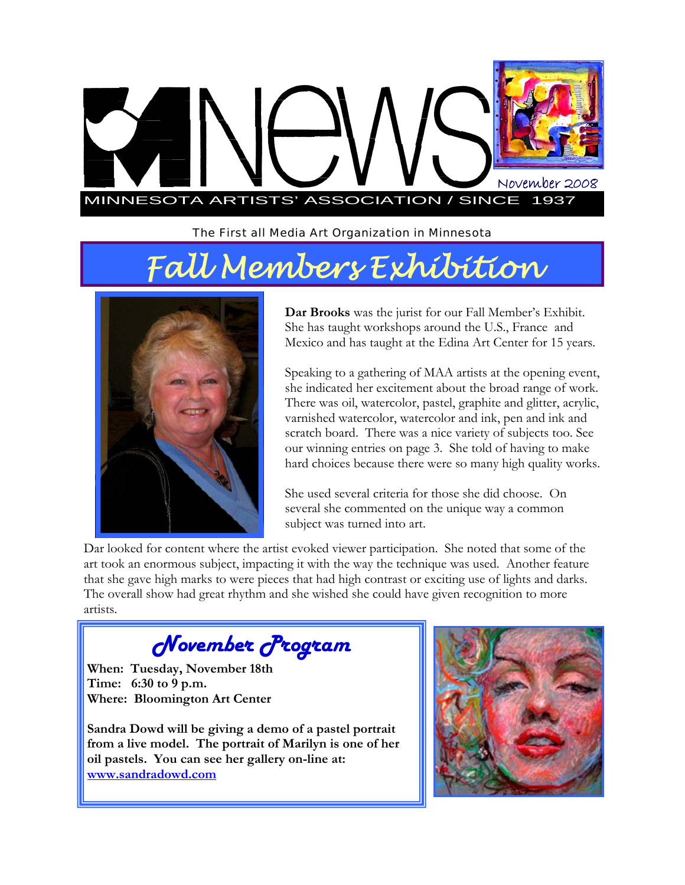

*The First all Media Art Organization in Minnesota* 

# *Fall Members Exhibition*



**Dar Brooks** was the jurist for our Fall Member's Exhibit. She has taught workshops around the U.S., France and Mexico and has taught at the Edina Art Center for 15 years.

Speaking to a gathering of MAA artists at the opening event, she indicated her excitement about the broad range of work. There was oil, watercolor, pastel, graphite and glitter, acrylic, varnished watercolor, watercolor and ink, pen and ink and scratch board. There was a nice variety of subjects too. See our winning entries on page 3. She told of having to make hard choices because there were so many high quality works.

She used several criteria for those she did choose. On several she commented on the unique way a common subject was turned into art.

Dar looked for content where the artist evoked viewer participation. She noted that some of the art took an enormous subject, impacting it with the way the technique was used. Another feature that she gave high marks to were pieces that had high contrast or exciting use of lights and darks. The overall show had great rhythm and she wished she could have given recognition to more artists.

*November Program* 

**When: Tuesday, November 18th Time: 6:30 to 9 p.m. Where: Bloomington Art Center** 

**Sandra Dowd will be giving a demo of a pastel portrait from a live model. The portrait of Marilyn is one of her oil pastels. You can see her gallery on-line at: www.sandradowd.com**

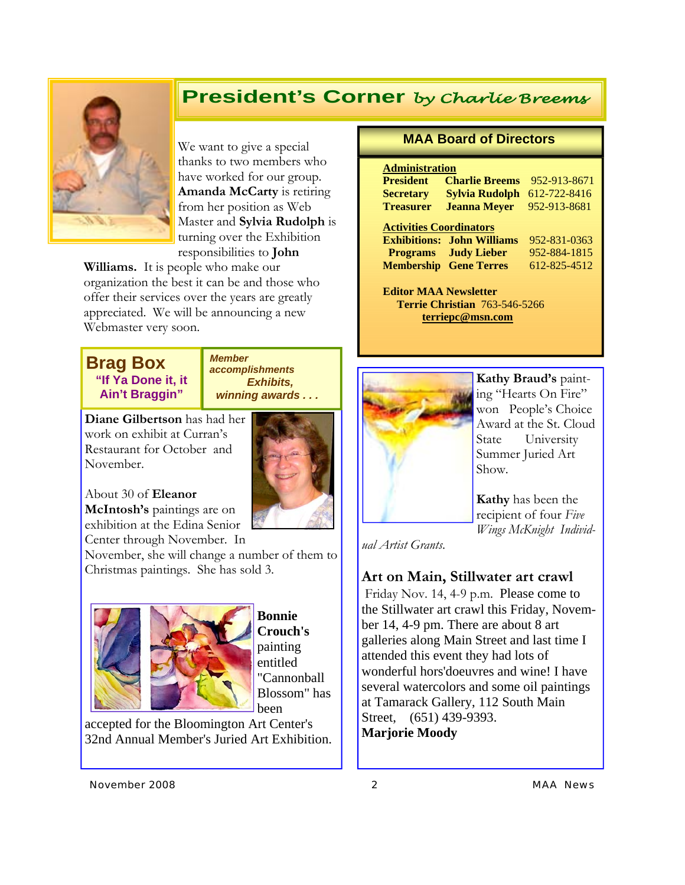### **President's Corner** *by Charlie Breems*



We want to give a special thanks to two members who have worked for our group. **Amanda McCarty** is retiring from her position as Web Master and **Sylvia Rudolph** is turning over the Exhibition responsibilities to **John** 

**Williams.** It is people who make our organization the best it can be and those who offer their services over the years are greatly appreciated. We will be announcing a new Webmaster very soon.

### **Brag Box "If Ya Done it, it Ain't Braggin"**

*Member accomplishments Exhibits, winning awards . . .* 

**Diane Gilbertson** has had her work on exhibit at Curran's Restaurant for October and November.



About 30 of **Eleanor McIntosh's** paintings are on exhibition at the Edina Senior Center through November. In

November, she will change a number of them to Christmas paintings. She has sold 3.



**Bonnie Crouch's**  painting entitled "Cannonball Blossom" has been

accepted for the Bloomington Art Center's 32nd Annual Member's Juried Art Exhibition.

#### **MAA Board of Directors**

#### **Administration**

| <b>President</b> | <b>Charlie Breems</b>              | 952-913-8671 |
|------------------|------------------------------------|--------------|
| <b>Secretary</b> | <b>Sylvia Rudolph</b> 612-722-8416 |              |
| <b>Treasurer</b> | <b>Jeanna Mever</b>                | 952-913-8681 |

#### **Activities Coordinators**

|                               | <b>Exhibitions: John Williams</b> | 952-831-0363 |
|-------------------------------|-----------------------------------|--------------|
|                               | <b>Programs</b> Judy Lieber       | 952-884-1815 |
| <b>Membership Gene Terres</b> |                                   | 612-825-4512 |

**Editor MAA Newsletter Terrie Christian** 763-546-5266 **terriepc@msn.com**



**Kathy Braud's** painting "Hearts On Fire" won People's Choice Award at the St. Cloud State University Summer Juried Art Show.

**Kathy** has been the recipient of four *Five Wings McKnight Individ-*

*ual Artist Grants*.

#### **Art on Main, Stillwater art crawl**

Friday Nov. 14, 4-9 p.m. Please come to the Stillwater art crawl this Friday, November 14, 4-9 pm. There are about 8 art galleries along Main Street and last time I attended this event they had lots of wonderful hors'doeuvres and wine! I have several watercolors and some oil paintings at Tamarack Gallery, 112 South Main Street, (651) 439-9393. **Marjorie Moody**

*November 2008 2 MAA News*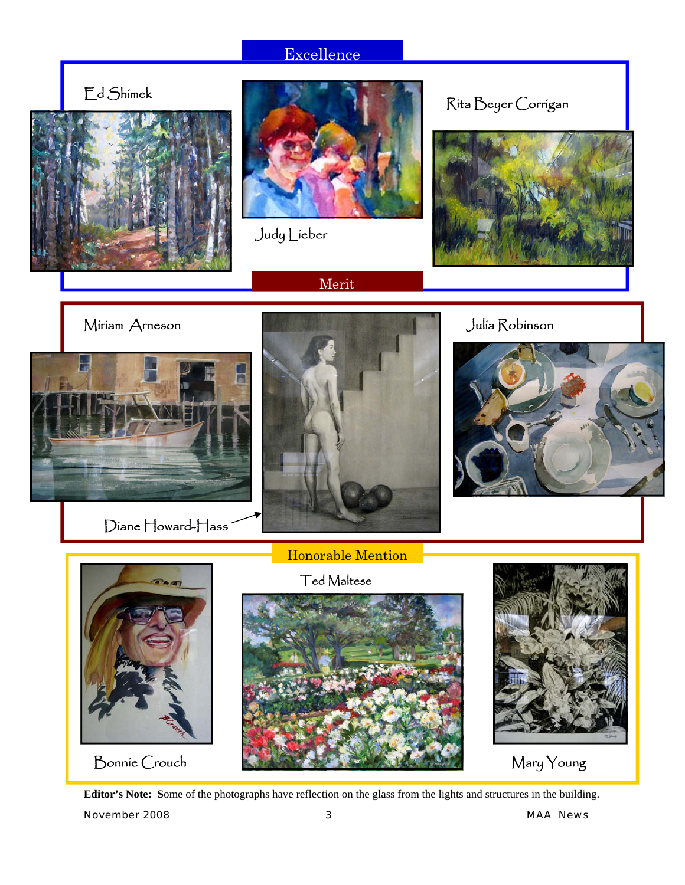### Excellence

Ed Shimek





Merit

Judy Lieber

Rita Beyer Corrigan





Diane Howard-Hass







**Editor's Note: S**ome of the photographs have reflection on the glass from the lights and structures in the building.

*November 2008 3 MAA News*